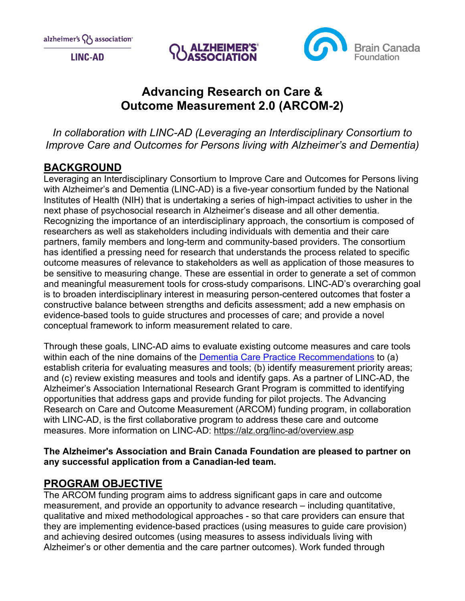**LINC-AD** 





# **Advancing Research on Care & Outcome Measurement 2.0 (ARCOM-2)**

*In collaboration with LINC-AD (Leveraging an Interdisciplinary Consortium to Improve Care and Outcomes for Persons living with Alzheimer's and Dementia)*

## **BACKGROUND**

Leveraging an Interdisciplinary Consortium to Improve Care and Outcomes for Persons living with Alzheimer's and Dementia (LINC-AD) is a five-year consortium funded by the National Institutes of Health (NIH) that is undertaking a series of high-impact activities to usher in the next phase of psychosocial research in Alzheimer's disease and all other dementia. Recognizing the importance of an interdisciplinary approach, the consortium is composed of researchers as well as stakeholders including individuals with dementia and their care partners, family members and long-term and community-based providers. The consortium has identified a pressing need for research that understands the process related to specific outcome measures of relevance to stakeholders as well as application of those measures to be sensitive to measuring change. These are essential in order to generate a set of common and meaningful measurement tools for cross-study comparisons. LINC-AD's overarching goal is to broaden interdisciplinary interest in measuring person-centered outcomes that foster a constructive balance between strengths and deficits assessment; add a new emphasis on evidence-based tools to guide structures and processes of care; and provide a novel conceptual framework to inform measurement related to care.

Through these goals, LINC-AD aims to evaluate existing outcome measures and care tools within each of the nine domains of the [Dementia Care Practice Recommendations](https://academic.oup.com/gerontologist/article/58/suppl_1/S1/4816759?login=false) to (a) establish criteria for evaluating measures and tools; (b) identify measurement priority areas; and (c) review existing measures and tools and identify gaps. As a partner of LINC-AD, the Alzheimer's Association International Research Grant Program is committed to identifying opportunities that address gaps and provide funding for pilot projects. The Advancing Research on Care and Outcome Measurement (ARCOM) funding program, in collaboration with LINC-AD, is the first collaborative program to address these care and outcome measures. More information on LINC-AD:<https://alz.org/linc-ad/overview.asp>

#### **The Alzheimer's Association and Brain Canada Foundation are pleased to partner on any successful application from a Canadian-led team.**

# **PROGRAM OBJECTIVE**

The ARCOM funding program aims to address significant gaps in care and outcome measurement, and provide an opportunity to advance research – including quantitative, qualitative and mixed methodological approaches - so that care providers can ensure that they are implementing evidence-based practices (using measures to guide care provision) and achieving desired outcomes (using measures to assess individuals living with Alzheimer's or other dementia and the care partner outcomes). Work funded through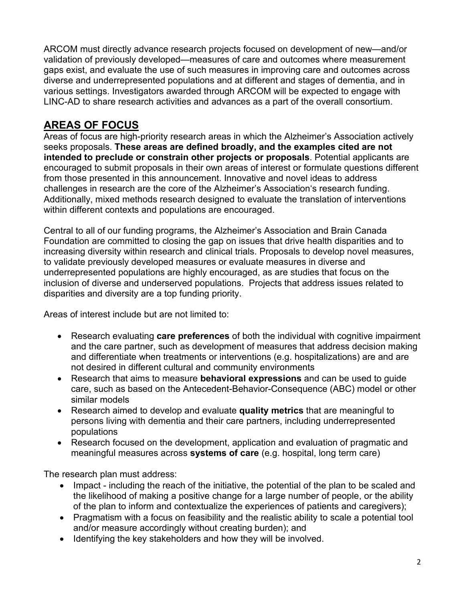ARCOM must directly advance research projects focused on development of new—and/or validation of previously developed—measures of care and outcomes where measurement gaps exist, and evaluate the use of such measures in improving care and outcomes across diverse and underrepresented populations and at different and stages of dementia, and in various settings. Investigators awarded through ARCOM will be expected to engage with LINC-AD to share research activities and advances as a part of the overall consortium.

# **AREAS OF FOCUS**

Areas of focus are high-priority research areas in which the Alzheimer's Association actively seeks proposals. **These areas are defined broadly, and the examples cited are not intended to preclude or constrain other projects or proposals**. Potential applicants are encouraged to submit proposals in their own areas of interest or formulate questions different from those presented in this announcement. Innovative and novel ideas to address challenges in research are the core of the Alzheimer's Association's research funding. Additionally, mixed methods research designed to evaluate the translation of interventions within different contexts and populations are encouraged.

Central to all of our funding programs, the Alzheimer's Association and Brain Canada Foundation are committed to closing the gap on issues that drive health disparities and to increasing diversity within research and clinical trials. Proposals to develop novel measures, to validate previously developed measures or evaluate measures in diverse and underrepresented populations are highly encouraged, as are studies that focus on the inclusion of diverse and underserved populations. Projects that address issues related to disparities and diversity are a top funding priority.

Areas of interest include but are not limited to:

- Research evaluating **care preferences** of both the individual with cognitive impairment and the care partner, such as development of measures that address decision making and differentiate when treatments or interventions (e.g. hospitalizations) are and are not desired in different cultural and community environments
- Research that aims to measure **behavioral expressions** and can be used to guide care, such as based on the Antecedent-Behavior-Consequence (ABC) model or other similar models
- Research aimed to develop and evaluate **quality metrics** that are meaningful to persons living with dementia and their care partners, including underrepresented populations
- Research focused on the development, application and evaluation of pragmatic and meaningful measures across **systems of care** (e.g. hospital, long term care)

The research plan must address:

- Impact including the reach of the initiative, the potential of the plan to be scaled and the likelihood of making a positive change for a large number of people, or the ability of the plan to inform and contextualize the experiences of patients and caregivers);
- Pragmatism with a focus on feasibility and the realistic ability to scale a potential tool and/or measure accordingly without creating burden); and
- Identifying the key stakeholders and how they will be involved.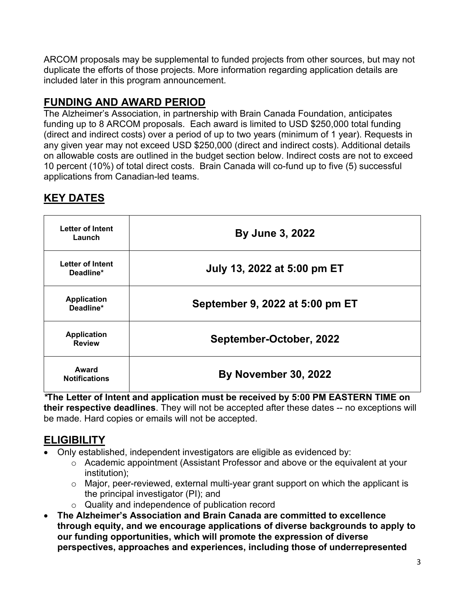ARCOM proposals may be supplemental to funded projects from other sources, but may not duplicate the efforts of those projects. More information regarding application details are included later in this program announcement.

# **FUNDING AND AWARD PERIOD**

The Alzheimer's Association, in partnership with Brain Canada Foundation, anticipates funding up to 8 ARCOM proposals. Each award is limited to USD \$250,000 total funding (direct and indirect costs) over a period of up to two years (minimum of 1 year). Requests in any given year may not exceed USD \$250,000 (direct and indirect costs). Additional details on allowable costs are outlined in the budget section below. Indirect costs are not to exceed 10 percent (10%) of total direct costs. Brain Canada will co-fund up to five (5) successful applications from Canadian-led teams.

# **KEY DATES**

| <b>Letter of Intent</b><br>Launch    | By June 3, 2022                 |
|--------------------------------------|---------------------------------|
| <b>Letter of Intent</b><br>Deadline* | July 13, 2022 at 5:00 pm ET     |
| <b>Application</b><br>Deadline*      | September 9, 2022 at 5:00 pm ET |
| <b>Application</b><br><b>Review</b>  | September-October, 2022         |
| Award<br><b>Notifications</b>        | <b>By November 30, 2022</b>     |

*\****The Letter of Intent and application must be received by 5:00 PM EASTERN TIME on their respective deadlines**. They will not be accepted after these dates -- no exceptions will be made. Hard copies or emails will not be accepted.

# **ELIGIBILITY**

- Only established, independent investigators are eligible as evidenced by:
	- o Academic appointment (Assistant Professor and above or the equivalent at your institution);
	- o Major, peer-reviewed, external multi-year grant support on which the applicant is the principal investigator (PI); and
	- o Quality and independence of publication record
- **The Alzheimer's Association and Brain Canada are committed to excellence through equity, and we encourage applications of diverse backgrounds to apply to our funding opportunities, which will promote the expression of diverse perspectives, approaches and experiences, including those of underrepresented**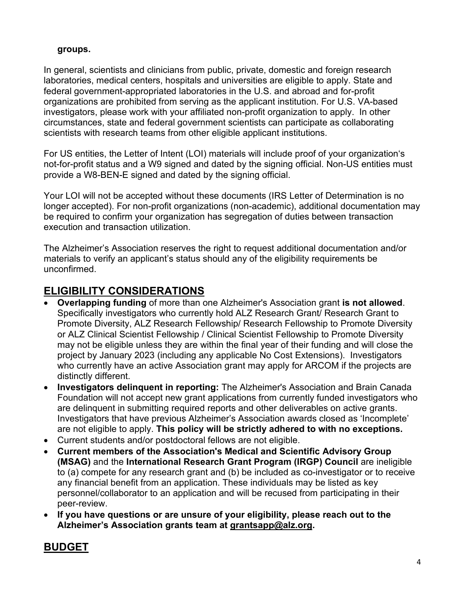#### **groups.**

In general, scientists and clinicians from public, private, domestic and foreign research laboratories, medical centers, hospitals and universities are eligible to apply. State and federal government-appropriated laboratories in the U.S. and abroad and for-profit organizations are prohibited from serving as the applicant institution. For U.S. VA-based investigators, please work with your affiliated non-profit organization to apply. In other circumstances, state and federal government scientists can participate as collaborating scientists with research teams from other eligible applicant institutions.

For US entities, the Letter of Intent (LOI) materials will include proof of your organization's not-for-profit status and a W9 signed and dated by the signing official. Non-US entities must provide a W8-BEN-E signed and dated by the signing official.

Your LOI will not be accepted without these documents (IRS Letter of Determination is no longer accepted). For non-profit organizations (non-academic), additional documentation may be required to confirm your organization has segregation of duties between transaction execution and transaction utilization.

The Alzheimer's Association reserves the right to request additional documentation and/or materials to verify an applicant's status should any of the eligibility requirements be unconfirmed.

## **ELIGIBILITY CONSIDERATIONS**

- **Overlapping funding** of more than one Alzheimer's Association grant **is not allowed**. Specifically investigators who currently hold ALZ Research Grant/ Research Grant to Promote Diversity, ALZ Research Fellowship/ Research Fellowship to Promote Diversity or ALZ Clinical Scientist Fellowship / Clinical Scientist Fellowship to Promote Diversity may not be eligible unless they are within the final year of their funding and will close the project by January 2023 (including any applicable No Cost Extensions). Investigators who currently have an active Association grant may apply for ARCOM if the projects are distinctly different.
- **Investigators delinquent in reporting:** The Alzheimer's Association and Brain Canada Foundation will not accept new grant applications from currently funded investigators who are delinquent in submitting required reports and other deliverables on active grants. Investigators that have previous Alzheimer's Association awards closed as 'Incomplete' are not eligible to apply. **This policy will be strictly adhered to with no exceptions.**
- Current students and/or postdoctoral fellows are not eligible.
- **Current members of the Association's Medical and Scientific Advisory Group (MSAG)** and the **International Research Grant Program (IRGP) Council** are ineligible to (a) compete for any research grant and (b) be included as co-investigator or to receive any financial benefit from an application. These individuals may be listed as key personnel/collaborator to an application and will be recused from participating in their peer-review.
- **If you have questions or are unsure of your eligibility, please reach out to the Alzheimer's Association grants team at [grantsapp@alz.org.](mailto:grantsapp@alz.org)**

## **BUDGET**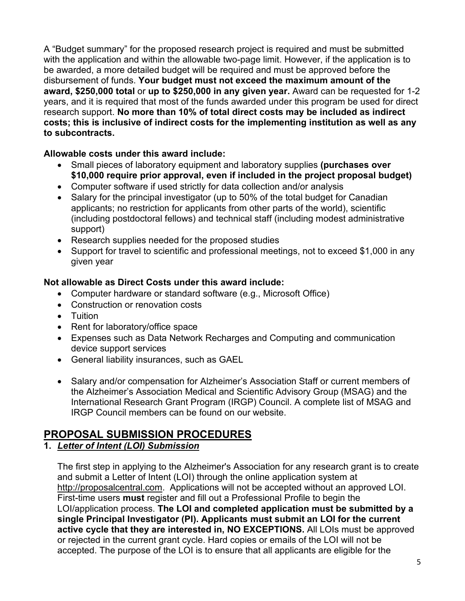A "Budget summary" for the proposed research project is required and must be submitted with the application and within the allowable two-page limit. However, if the application is to be awarded, a more detailed budget will be required and must be approved before the disbursement of funds. **Your budget must not exceed the maximum amount of the award, \$250,000 total** or **up to \$250,000 in any given year.** Award can be requested for 1-2 years, and it is required that most of the funds awarded under this program be used for direct research support. **No more than 10% of total direct costs may be included as indirect costs; this is inclusive of indirect costs for the implementing institution as well as any to subcontracts.**

### **Allowable costs under this award include:**

- Small pieces of laboratory equipment and laboratory supplies **(purchases over \$10,000 require prior approval, even if included in the project proposal budget)**
- Computer software if used strictly for data collection and/or analysis
- Salary for the principal investigator (up to 50% of the total budget for Canadian applicants; no restriction for applicants from other parts of the world), scientific (including postdoctoral fellows) and technical staff (including modest administrative support)
- Research supplies needed for the proposed studies
- Support for travel to scientific and professional meetings, not to exceed \$1,000 in any given year

### **Not allowable as Direct Costs under this award include:**

- Computer hardware or standard software (e.g., Microsoft Office)
- Construction or renovation costs
- Tuition
- Rent for laboratory/office space
- Expenses such as Data Network Recharges and Computing and communication device support services
- General liability insurances, such as GAEL
- Salary and/or compensation for Alzheimer's Association Staff or current members of the Alzheimer's Association Medical and Scientific Advisory Group (MSAG) and the International Research Grant Program (IRGP) Council. A complete list of MSAG and IRGP Council members can be found on our website.

# **PROPOSAL SUBMISSION PROCEDURES**

## **1.** *Letter of Intent (LOI) Submission*

The first step in applying to the Alzheimer's Association for any research grant is to create and submit a Letter of Intent (LOI) through the online application system at [http://proposalcentral.com.](http://proposalcentral.com/) Applications will not be accepted without an approved LOI. First-time users **must** register and fill out a Professional Profile to begin the LOI/application process. **The LOI and completed application must be submitted by a single Principal Investigator (PI). Applicants must submit an LOI for the current active cycle that they are interested in, NO EXCEPTIONS.** All LOIs must be approved or rejected in the current grant cycle. Hard copies or emails of the LOI will not be accepted. The purpose of the LOI is to ensure that all applicants are eligible for the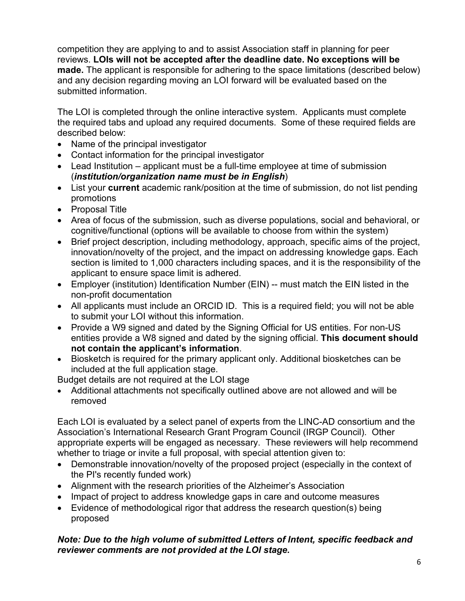competition they are applying to and to assist Association staff in planning for peer reviews. **LOIs will not be accepted after the deadline date. No exceptions will be made.** The applicant is responsible for adhering to the space limitations (described below) and any decision regarding moving an LOI forward will be evaluated based on the submitted information.

The LOI is completed through the online interactive system. Applicants must complete the required tabs and upload any required documents. Some of these required fields are described below:

- Name of the principal investigator
- Contact information for the principal investigator
- Lead Institution applicant must be a full-time employee at time of submission (*institution/organization name must be in English*)
- List your **current** academic rank/position at the time of submission, do not list pending promotions
- Proposal Title
- Area of focus of the submission, such as diverse populations, social and behavioral, or cognitive/functional (options will be available to choose from within the system)
- Brief project description, including methodology, approach, specific aims of the project, innovation/novelty of the project, and the impact on addressing knowledge gaps. Each section is limited to 1,000 characters including spaces, and it is the responsibility of the applicant to ensure space limit is adhered.
- Employer (institution) Identification Number (EIN) -- must match the EIN listed in the non-profit documentation
- All applicants must include an ORCID ID. This is a required field; you will not be able to submit your LOI without this information.
- Provide a W9 signed and dated by the Signing Official for US entities. For non-US entities provide a W8 signed and dated by the signing official. **This document should not contain the applicant's information**.
- Biosketch is required for the primary applicant only. Additional biosketches can be included at the full application stage.

Budget details are not required at the LOI stage

• Additional attachments not specifically outlined above are not allowed and will be removed

Each LOI is evaluated by a select panel of experts from the LINC-AD consortium and the Association's International Research Grant Program Council (IRGP Council). Other appropriate experts will be engaged as necessary. These reviewers will help recommend whether to triage or invite a full proposal, with special attention given to:

- Demonstrable innovation/novelty of the proposed project (especially in the context of the PI's recently funded work)
- Alignment with the research priorities of the Alzheimer's Association
- Impact of project to address knowledge gaps in care and outcome measures
- Evidence of methodological rigor that address the research question(s) being proposed

#### *Note: Due to the high volume of submitted Letters of Intent, specific feedback and reviewer comments are not provided at the LOI stage.*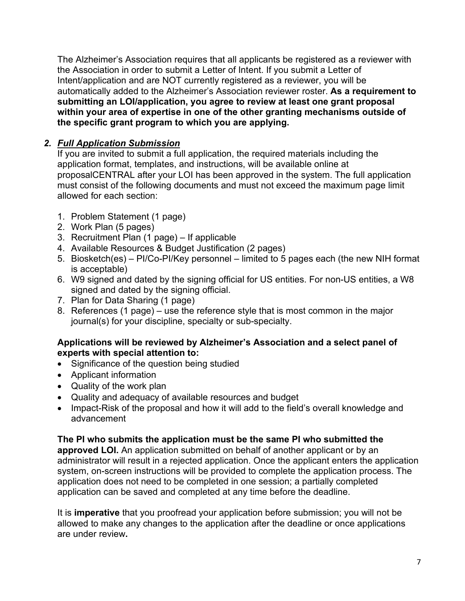The Alzheimer's Association requires that all applicants be registered as a reviewer with the Association in order to submit a Letter of Intent. If you submit a Letter of Intent/application and are NOT currently registered as a reviewer, you will be automatically added to the Alzheimer's Association reviewer roster. **As a requirement to submitting an LOI/application, you agree to review at least one grant proposal within your area of expertise in one of the other granting mechanisms outside of the specific grant program to which you are applying.** 

## *2. Full Application Submission*

If you are invited to submit a full application, the required materials including the application format, templates, and instructions, will be available online at proposalCENTRAL after your LOI has been approved in the system. The full application must consist of the following documents and must not exceed the maximum page limit allowed for each section:

- 1. Problem Statement (1 page)
- 2. Work Plan (5 pages)
- 3. Recruitment Plan (1 page) If applicable
- 4. Available Resources & Budget Justification (2 pages)
- 5. Biosketch(es) PI/Co-PI/Key personnel limited to 5 pages each (the new NIH format is acceptable)
- 6. W9 signed and dated by the signing official for US entities. For non-US entities, a W8 signed and dated by the signing official.
- 7. Plan for Data Sharing (1 page)
- 8. References (1 page) use the reference style that is most common in the major journal(s) for your discipline, specialty or sub-specialty.

#### **Applications will be reviewed by Alzheimer's Association and a select panel of experts with special attention to:**

- Significance of the question being studied
- Applicant information
- Quality of the work plan
- Quality and adequacy of available resources and budget
- Impact-Risk of the proposal and how it will add to the field's overall knowledge and advancement

**The PI who submits the application must be the same PI who submitted the** 

**approved LOI.** An application submitted on behalf of another applicant or by an administrator will result in a rejected application. Once the applicant enters the application system, on-screen instructions will be provided to complete the application process. The application does not need to be completed in one session; a partially completed application can be saved and completed at any time before the deadline.

It is **imperative** that you proofread your application before submission; you will not be allowed to make any changes to the application after the deadline or once applications are under review**.**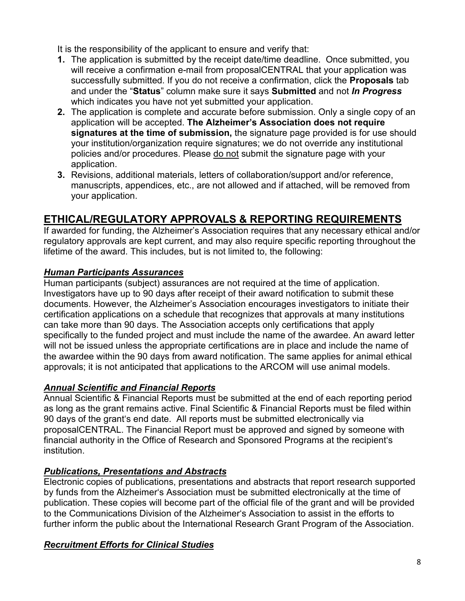It is the responsibility of the applicant to ensure and verify that:

- **1.** The application is submitted by the receipt date/time deadline.Once submitted, you will receive a confirmation e-mail from proposalCENTRAL that your application was successfully submitted. If you do not receive a confirmation, click the **Proposals** tab and under the "**Status**" column make sure it says **Submitted** and not *In Progress* which indicates you have not yet submitted your application.
- **2.** The application is complete and accurate before submission. Only a single copy of an application will be accepted. **The Alzheimer's Association does not require signatures at the time of submission,** the signature page provided is for use should your institution/organization require signatures; we do not override any institutional policies and/or procedures. Please do not submit the signature page with your application.
- **3.** Revisions, additional materials, letters of collaboration/support and/or reference, manuscripts, appendices, etc., are not allowed and if attached, will be removed from your application.

# **ETHICAL/REGULATORY APPROVALS & REPORTING REQUIREMENTS**

If awarded for funding, the Alzheimer's Association requires that any necessary ethical and/or regulatory approvals are kept current, and may also require specific reporting throughout the lifetime of the award. This includes, but is not limited to, the following:

### *Human Participants Assurances*

Human participants (subject) assurances are not required at the time of application. Investigators have up to 90 days after receipt of their award notification to submit these documents. However, the Alzheimer's Association encourages investigators to initiate their certification applications on a schedule that recognizes that approvals at many institutions can take more than 90 days. The Association accepts only certifications that apply specifically to the funded project and must include the name of the awardee. An award letter will not be issued unless the appropriate certifications are in place and include the name of the awardee within the 90 days from award notification. The same applies for animal ethical approvals; it is not anticipated that applications to the ARCOM will use animal models.

## *Annual Scientific and Financial Reports*

Annual Scientific & Financial Reports must be submitted at the end of each reporting period as long as the grant remains active. Final Scientific & Financial Reports must be filed within 90 days of the grant's end date. All reports must be submitted electronically via proposalCENTRAL. The Financial Report must be approved and signed by someone with financial authority in the Office of Research and Sponsored Programs at the recipient's institution.

## *Publications, Presentations and Abstracts*

Electronic copies of publications, presentations and abstracts that report research supported by funds from the Alzheimer's Association must be submitted electronically at the time of publication. These copies will become part of the official file of the grant and will be provided to the Communications Division of the Alzheimer's Association to assist in the efforts to further inform the public about the International Research Grant Program of the Association.

#### *Recruitment Efforts for Clinical Studies*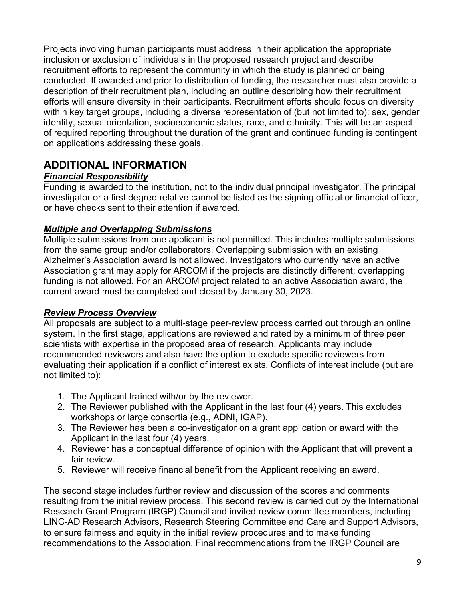Projects involving human participants must address in their application the appropriate inclusion or exclusion of individuals in the proposed research project and describe recruitment efforts to represent the community in which the study is planned or being conducted. If awarded and prior to distribution of funding, the researcher must also provide a description of their recruitment plan, including an outline describing how their recruitment efforts will ensure diversity in their participants. Recruitment efforts should focus on diversity within key target groups, including a diverse representation of (but not limited to): sex, gender identity, sexual orientation, socioeconomic status, race, and ethnicity. This will be an aspect of required reporting throughout the duration of the grant and continued funding is contingent on applications addressing these goals.

## **ADDITIONAL INFORMATION**

#### *Financial Responsibility*

Funding is awarded to the institution, not to the individual principal investigator. The principal investigator or a first degree relative cannot be listed as the signing official or financial officer, or have checks sent to their attention if awarded.

#### *Multiple and Overlapping Submissions*

Multiple submissions from one applicant is not permitted. This includes multiple submissions from the same group and/or collaborators. Overlapping submission with an existing Alzheimer's Association award is not allowed. Investigators who currently have an active Association grant may apply for ARCOM if the projects are distinctly different; overlapping funding is not allowed. For an ARCOM project related to an active Association award, the current award must be completed and closed by January 30, 2023.

#### *Review Process Overview*

All proposals are subject to a multi-stage peer-review process carried out through an online system. In the first stage, applications are reviewed and rated by a minimum of three peer scientists with expertise in the proposed area of research. Applicants may include recommended reviewers and also have the option to exclude specific reviewers from evaluating their application if a conflict of interest exists. Conflicts of interest include (but are not limited to):

- 1. The Applicant trained with/or by the reviewer.
- 2. The Reviewer published with the Applicant in the last four (4) years. This excludes workshops or large consortia (e.g., ADNI, IGAP).
- 3. The Reviewer has been a co-investigator on a grant application or award with the Applicant in the last four (4) years.
- 4. Reviewer has a conceptual difference of opinion with the Applicant that will prevent a fair review.
- 5. Reviewer will receive financial benefit from the Applicant receiving an award.

The second stage includes further review and discussion of the scores and comments resulting from the initial review process. This second review is carried out by the International Research Grant Program (IRGP) Council and invited review committee members, including LINC-AD Research Advisors, Research Steering Committee and Care and Support Advisors, to ensure fairness and equity in the initial review procedures and to make funding recommendations to the Association. Final recommendations from the IRGP Council are